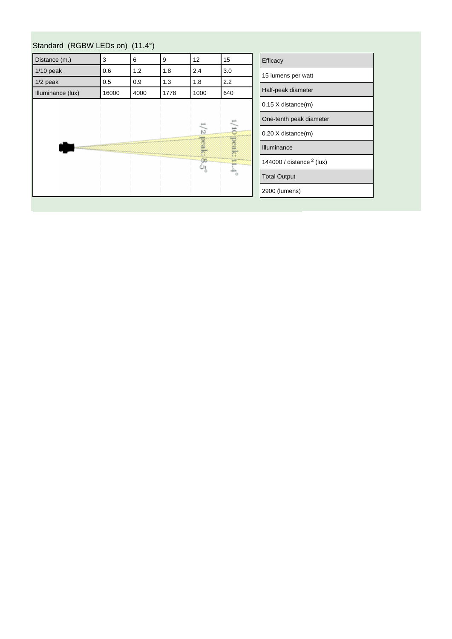| Distance (m.)     | 3     | 6    | 9    | 12            | 15                          | Efficacy                    |
|-------------------|-------|------|------|---------------|-----------------------------|-----------------------------|
| $1/10$ peak       | 0.6   | 1.2  | 1.8  | 2.4           | 3.0                         | 15 lumens per watt          |
| $1/2$ peak        | 0.5   | 0.9  | 1.3  | 1.8           | 2.2                         |                             |
| Illuminance (lux) | 16000 | 4000 | 1778 | 1000          | 640                         | Half-peak diameter          |
|                   |       |      |      |               |                             | $0.15$ X distance(m)        |
|                   |       |      |      |               |                             | One-tenth peak diameter     |
|                   |       |      |      | 12            | ά                           | 0.20 X distance(m)          |
|                   |       |      |      | peak:         | peak:                       | Illuminance                 |
|                   |       |      |      | $\frac{8}{2}$ | Ξ                           | 144000 / distance $2$ (lux) |
|                   |       |      |      |               | $\stackrel{+}{\rightarrow}$ | <b>Total Output</b>         |
|                   |       |      |      |               |                             | 2900 (lumens)               |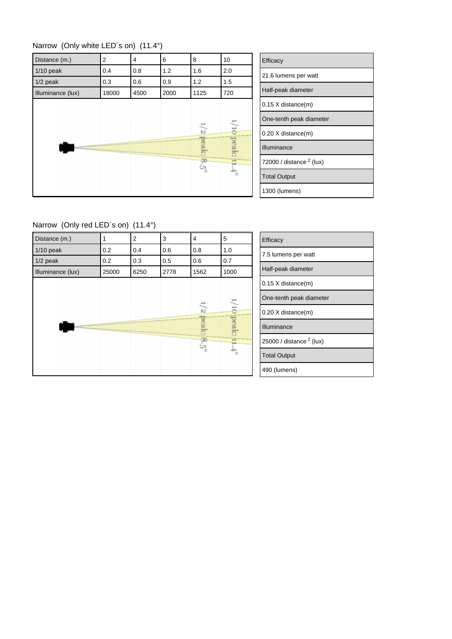| Narrow (Only white LED's on) (11.4°) |  |  |  |  |  |  |
|--------------------------------------|--|--|--|--|--|--|
|--------------------------------------|--|--|--|--|--|--|

| Distance (m.)     | 2     | 4    | 6    | 8                                | 10  |
|-------------------|-------|------|------|----------------------------------|-----|
| $1/10$ peak       | 0.4   | 0.8  | 1.2  | 1.6                              | 2.0 |
| $1/2$ peak        | 0.3   | 0.6  | 0.9  | 1.2                              | 1.5 |
| Illuminance (lux) | 18000 | 4500 | 2000 | 1125                             | 720 |
|                   |       |      |      | $\frac{1}{2}$<br>reak<br>œ<br>್ಯ | Ş.  |

| Efficacy                            |
|-------------------------------------|
| 21.6 lumens per watt                |
| Half-peak diameter                  |
| $0.15$ X distance $(m)$             |
| One-tenth peak diameter             |
| $0.20$ X distance $(m)$             |
| Illuminance                         |
| 72000 / distance <sup>2</sup> (lux) |
| <b>Total Output</b>                 |
| 1300 (lumens)                       |

Ξ Ξ

Narrow (Only red LED´s on) (11.4°)

| Distance (m.)     |       | $\overline{2}$ | 3    | 4                  | 5       | Efficacy                   |
|-------------------|-------|----------------|------|--------------------|---------|----------------------------|
| $1/10$ peak       | 0.2   | 0.4            | 0.6  | 0.8                | 1.0     | 7.5 lumens per watt        |
| $1/2$ peak        | 0.2   | 0.3            | 0.5  | 0.6                | 0.7     |                            |
| Illuminance (lux) | 25000 | 6250           | 2778 | 1562               | 1000    | Half-peak diameter         |
|                   |       |                |      |                    |         | 0.15 X distance(m)         |
|                   |       |                |      |                    |         | One-tenth peak diameter    |
|                   |       |                |      | $\frac{1}{2}$      | õ       | $0.20$ X distance(m)       |
|                   |       |                |      | peak               | yeak:   | Illuminance                |
|                   |       |                |      | $\infty$<br>ن<br>و |         | 25000 / distance $2$ (lux) |
|                   |       |                |      |                    | $\circ$ | <b>Total Output</b>        |
|                   |       |                |      |                    |         | 490 (lumens)               |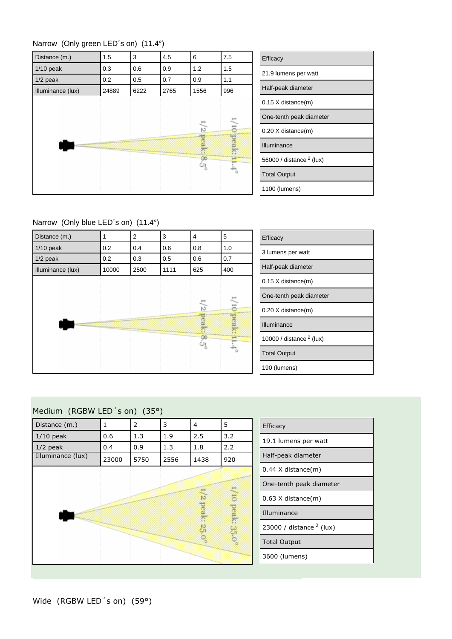



| Efficacy                   |  |  |  |  |  |  |
|----------------------------|--|--|--|--|--|--|
| 21.9 lumens per watt       |  |  |  |  |  |  |
| Half-peak diameter         |  |  |  |  |  |  |
| 0.15 X distance(m)         |  |  |  |  |  |  |
| One-tenth peak diameter    |  |  |  |  |  |  |
| $0.20$ X distance $(m)$    |  |  |  |  |  |  |
| Illuminance                |  |  |  |  |  |  |
| 56000 / distance $2$ (lux) |  |  |  |  |  |  |
| <b>Total Output</b>        |  |  |  |  |  |  |
| 1100 (lumens)              |  |  |  |  |  |  |

Narrow (Only blue LED´s on) (11.4°)



| Efficacy                   |
|----------------------------|
| 3 lumens per watt          |
| Half-peak diameter         |
| $0.15$ X distance $(m)$    |
| One-tenth peak diameter    |
| $0.20$ X distance $(m)$    |
| Illuminance                |
| 10000 / distance $2$ (lux) |
| <b>Total Output</b>        |
| 190 (lumens)               |

## Medium (RGBW LED´s on) (35°)

| Distance (m.)     | 1     | 2    | 3    | $\overline{4}$ | 5                | Efficacy           |
|-------------------|-------|------|------|----------------|------------------|--------------------|
| $1/10$ peak       | 0.6   | 1.3  | 1.9  | 2.5            | 3.2              | 19.1 lumen         |
| $1/2$ peak        | 0.4   | 0.9  | 1.3  | 1.8            | 2.2              |                    |
| Illuminance (lux) | 23000 | 5750 | 2556 | 1438           | 920              | Half-peak o        |
|                   |       |      |      |                |                  | $0.44$ X dist      |
|                   |       |      |      |                |                  | One-tenth          |
|                   |       |      |      | 51             |                  | $0.63$ X dist      |
|                   |       |      |      | peak:          | 1/10 peak: 35.0° | Illuminance        |
|                   |       |      |      | 25,0%          |                  | 23000 / dis        |
|                   |       |      |      |                |                  | <b>Total Outpu</b> |
|                   |       |      |      |                |                  | 3600 (lume         |
|                   |       |      |      |                |                  |                    |

| Efficacy                   |  |  |  |  |  |  |
|----------------------------|--|--|--|--|--|--|
| 19.1 lumens per watt       |  |  |  |  |  |  |
| Half-peak diameter         |  |  |  |  |  |  |
| 0.44 X distance(m)         |  |  |  |  |  |  |
| One-tenth peak diameter    |  |  |  |  |  |  |
| $0.63$ X distance $(m)$    |  |  |  |  |  |  |
| Illuminance                |  |  |  |  |  |  |
| 23000 / distance $2$ (lux) |  |  |  |  |  |  |
| <b>Total Output</b>        |  |  |  |  |  |  |
| 3600 (lumens)              |  |  |  |  |  |  |